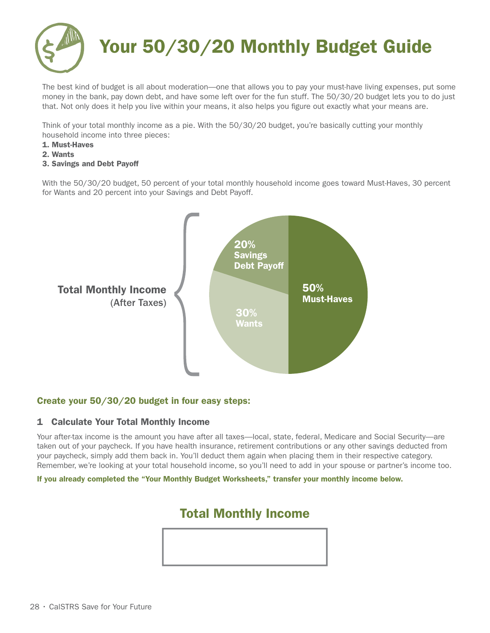

# Your 50/30/20 Monthly Budget Guide

The best kind of budget is all about moderation—one that allows you to pay your must-have living expenses, put some money in the bank, pay down debt, and have some left over for the fun stuff. The 50/30/20 budget lets you to do just that. Not only does it help you live within your means, it also helps you figure out exactly what your means are.

Think of your total monthly income as a pie. With the 50/30/20 budget, you're basically cutting your monthly household income into three pieces:

- 1. Must-Haves
- 2. Wants
- 3. Savings and Debt Payoff

With the 50/30/20 budget, 50 percent of your total monthly household income goes toward Must-Haves, 30 percent for Wants and 20 percent into your Savings and Debt Payoff.



## Create your 50/30/20 budget in four easy steps:

#### 1 Calculate Your Total Monthly Income

Your after-tax income is the amount you have after all taxes—local, state, federal, Medicare and Social Security—are taken out of your paycheck. If you have health insurance, retirement contributions or any other savings deducted from your paycheck, simply add them back in. You'll deduct them again when placing them in their respective category. Remember, we're looking at your total household income, so you'll need to add in your spouse or partner's income too.

If you already completed the "Your Monthly Budget Worksheets," transfer your monthly income below.

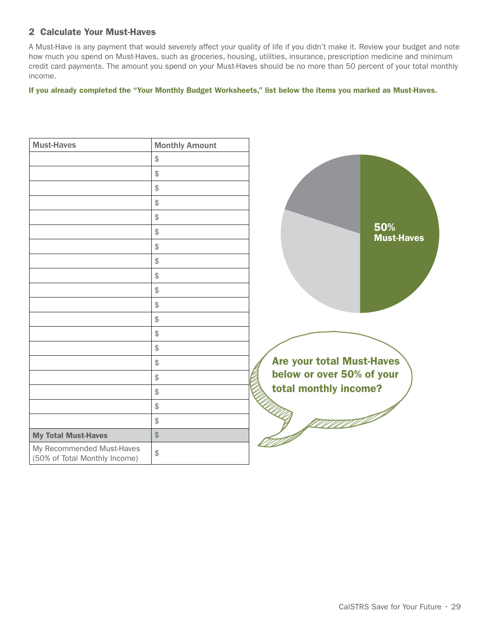### 2 Calculate Your Must-Haves

A Must-Have is any payment that would severely affect your quality of life if you didn't make it. Review your budget and note how much you spend on Must-Haves, such as groceries, housing, utilities, insurance, prescription medicine and minimum credit card payments. The amount you spend on your Must-Haves should be no more than 50 percent of your total monthly income.

If you already completed the "Your Monthly Budget Worksheets," list below the items you marked as Must-Haves.

| <b>Must-Haves</b>                                          | <b>Monthly Amount</b> |        |
|------------------------------------------------------------|-----------------------|--------|
|                                                            | \$                    |        |
|                                                            | \$                    |        |
|                                                            | \$                    |        |
|                                                            | \$                    |        |
|                                                            | \$                    |        |
|                                                            | \$                    |        |
|                                                            | \$                    |        |
|                                                            | \$                    |        |
|                                                            | \$                    |        |
|                                                            | \$                    |        |
|                                                            | \$                    |        |
|                                                            | \$                    |        |
|                                                            | \$                    |        |
|                                                            | \$                    |        |
|                                                            | \$                    |        |
|                                                            | \$                    |        |
|                                                            | \$                    | e<br>C |
|                                                            | \$                    |        |
|                                                            | \$                    |        |
| <b>My Total Must-Haves</b>                                 | $\frac{1}{2}$         |        |
| My Recommended Must-Haves<br>(50% of Total Monthly Income) | \$                    |        |

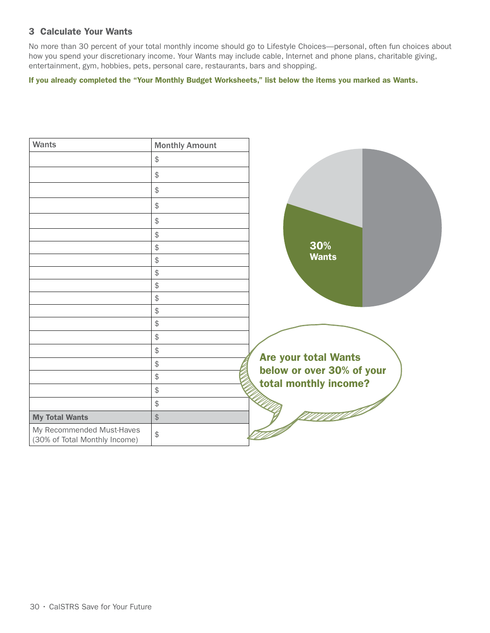#### 3 Calculate Your Wants

No more than 30 percent of your total monthly income should go to Lifestyle Choices—personal, often fun choices about how you spend your discretionary income. Your Wants may include cable, Internet and phone plans, charitable giving, entertainment, gym, hobbies, pets, personal care, restaurants, bars and shopping.

If you already completed the "Your Monthly Budget Worksheets," list below the items you marked as Wants.

| Wants                                                      | <b>Monthly Amount</b>                     |                             |
|------------------------------------------------------------|-------------------------------------------|-----------------------------|
|                                                            | $\frac{1}{2}$                             |                             |
|                                                            | $\frac{1}{2}$                             |                             |
|                                                            | $\updownarrow$                            |                             |
|                                                            | $\frac{1}{2}$                             |                             |
|                                                            | $\updownarrow$                            |                             |
|                                                            | $\, \, \raisebox{12pt}{$\scriptstyle \$}$ |                             |
|                                                            | $\, \, \raisebox{12pt}{$\scriptstyle \$}$ | 30%                         |
|                                                            | $\, \, \raisebox{12pt}{$\scriptstyle \$}$ | <b>Wants</b>                |
|                                                            | $\frac{1}{2}$                             |                             |
|                                                            | $\, \, \raisebox{12pt}{$\scriptstyle \$}$ |                             |
|                                                            | $\, \, \raisebox{12pt}{$\scriptstyle \$}$ |                             |
|                                                            | $\, \, \raisebox{12pt}{$\scriptstyle \$}$ |                             |
|                                                            | $\frac{1}{2}$                             |                             |
|                                                            | $\updownarrow$                            |                             |
|                                                            | $\frac{1}{2}$                             |                             |
|                                                            | $\frac{1}{2}$                             | <b>Are your total Wants</b> |
|                                                            | $\, \, \raisebox{12pt}{$\scriptstyle \$}$ | below or over 30% of your   |
|                                                            | $\, \, \raisebox{12pt}{$\scriptstyle \$}$ | total monthly income?       |
|                                                            | $\, \, \raisebox{12pt}{$\scriptstyle \$}$ |                             |
| <b>My Total Wants</b>                                      | $\, \, \raisebox{-1.5pt}{\Large$\circ$}$  |                             |
| My Recommended Must-Haves<br>(30% of Total Monthly Income) | $\frac{1}{2}$                             |                             |